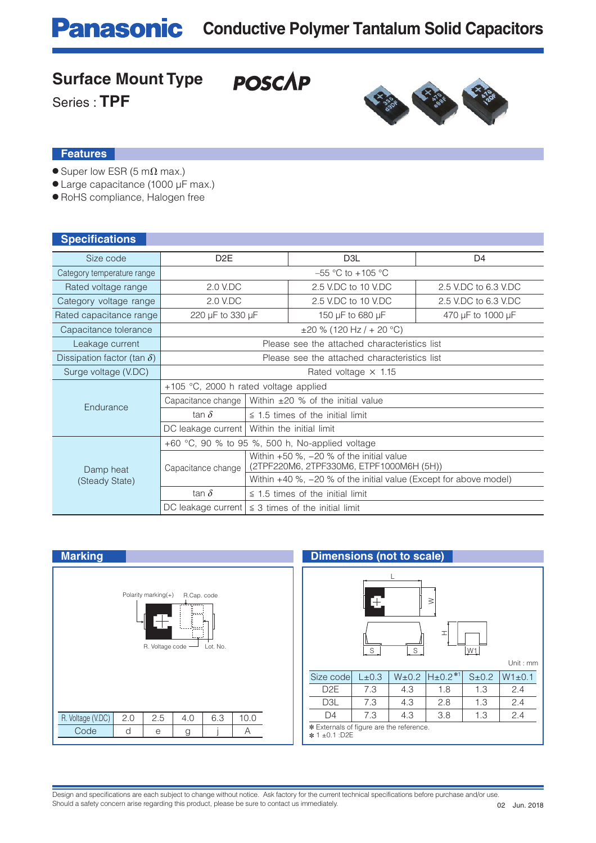**POSCAP** 

### **Surface Mount Type**

Series : **TPF**



#### **Features**

- $\bullet$  Super low ESR (5 m $\Omega$  max.)
- Large capacitance (1000 μF max.)
- RoHS compliance, Halogen free

| <b>Specifications</b>              |                                                              |                                                                                          |                                       |                      |  |  |  |  |  |
|------------------------------------|--------------------------------------------------------------|------------------------------------------------------------------------------------------|---------------------------------------|----------------------|--|--|--|--|--|
| Size code                          | D <sub>2</sub> E                                             |                                                                                          | D <sub>3</sub> L                      | D <sub>4</sub>       |  |  |  |  |  |
| Category temperature range         |                                                              |                                                                                          | $-55$ °C to $+105$ °C                 |                      |  |  |  |  |  |
| Rated voltage range                | 2.0 V.DC                                                     |                                                                                          | 2.5 V.DC to 10 V.DC                   | 2.5 V.DC to 6.3 V.DC |  |  |  |  |  |
| Category voltage range             | 2.0 V.DC                                                     |                                                                                          | 2.5 V.DC to 10 V.DC                   | 2.5 V.DC to 6.3 V.DC |  |  |  |  |  |
| Rated capacitance range            | 220 µF to 330 µF                                             |                                                                                          | 150 µF to 680 µF                      | 470 µF to 1000 µF    |  |  |  |  |  |
| Capacitance tolerance              | $\pm 20$ % (120 Hz / + 20 °C)                                |                                                                                          |                                       |                      |  |  |  |  |  |
| Leakage current                    | Please see the attached characteristics list                 |                                                                                          |                                       |                      |  |  |  |  |  |
| Dissipation factor (tan $\delta$ ) | Please see the attached characteristics list                 |                                                                                          |                                       |                      |  |  |  |  |  |
| Surge voltage (V.DC)               | Rated voltage $\times$ 1.15                                  |                                                                                          |                                       |                      |  |  |  |  |  |
|                                    | +105 °C, 2000 h rated voltage applied                        |                                                                                          |                                       |                      |  |  |  |  |  |
| Endurance                          | Within $\pm 20$ % of the initial value<br>Capacitance change |                                                                                          |                                       |                      |  |  |  |  |  |
|                                    | tan $\delta$                                                 |                                                                                          | $\leq$ 1.5 times of the initial limit |                      |  |  |  |  |  |
|                                    | DC leakage current                                           | Within the initial limit                                                                 |                                       |                      |  |  |  |  |  |
|                                    | +60 °C, 90 % to 95 %, 500 h, No-applied voltage              |                                                                                          |                                       |                      |  |  |  |  |  |
| Damp heat                          | Capacitance change                                           | Within $+50$ %, $-20$ % of the initial value<br>(2TPF220M6, 2TPF330M6, ETPF1000M6H (5H)) |                                       |                      |  |  |  |  |  |
| (Steady State)                     |                                                              | Within $+40$ %, $-20$ % of the initial value (Except for above model)                    |                                       |                      |  |  |  |  |  |
|                                    | tan $\delta$                                                 |                                                                                          | $\leq$ 1.5 times of the initial limit |                      |  |  |  |  |  |
|                                    | DC leakage current                                           | $\leq$ 3 times of the initial limit                                                      |                                       |                      |  |  |  |  |  |

| <b>Marking</b>                                                                                   | <b>Dimensions (not to scale)</b>                                      |  |  |  |  |  |  |  |
|--------------------------------------------------------------------------------------------------|-----------------------------------------------------------------------|--|--|--|--|--|--|--|
| Polarity marking $(+)$<br>R.Cap. code<br>×<br>(boo)<br>المسومات<br>R. Voltage code -<br>Lot. No. | Ð<br>$\geq$<br>I<br>$S_{\cdot}$<br>$S_{-}$<br>W1<br>Unit:             |  |  |  |  |  |  |  |
|                                                                                                  | $H_{\pm}0.2**1$<br>Size code<br>$W1 \pm 0$<br>L±0.3<br>W±0.2<br>S±0.2 |  |  |  |  |  |  |  |
|                                                                                                  | D <sub>2</sub> E<br>7.3<br>1.3<br>2.4<br>4.3<br>1.8                   |  |  |  |  |  |  |  |
|                                                                                                  | 2.4<br>D <sub>3</sub> L<br>7.3<br>4.3<br>2.8<br>1.3                   |  |  |  |  |  |  |  |
| R. Voltage (V.DC)<br>10.0<br>2.5<br>6.3<br>2.0<br>4.0                                            | 2.4<br>7.3<br>3.8<br>4.3<br>1.3<br>D <sub>4</sub>                     |  |  |  |  |  |  |  |
| Code<br>d<br>A<br>e<br>g                                                                         | * Externals of figure are the reference.<br>* 1±0.1 :D2E              |  |  |  |  |  |  |  |

## **Dimensions (not to scale)**